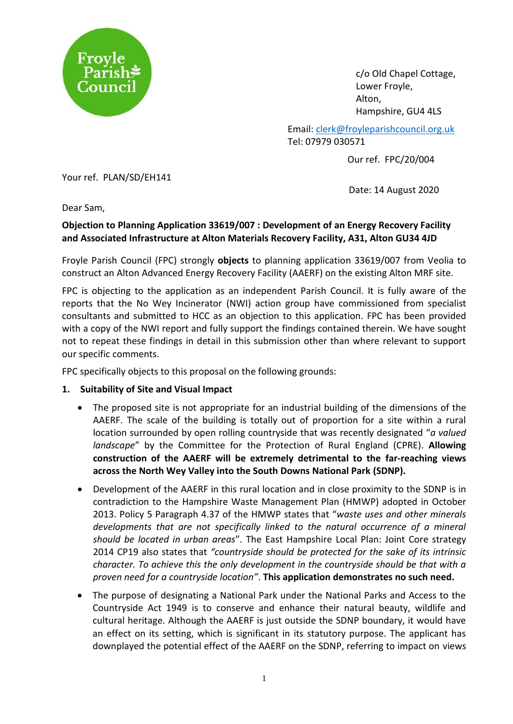

c/o Old Chapel Cottage, Lower Froyle, Alton, Hampshire, GU4 4LS

Email: [clerk@froyleparishcouncil.org.uk](mailto:clerk@froyleparishcouncil.org.uk) Tel: 07979 030571

Our ref. FPC/20/004

Your ref. PLAN/SD/EH141

Date: 14 August 2020

Dear Sam,

# **Objection to Planning Application 33619/007 : Development of an Energy Recovery Facility and Associated Infrastructure at Alton Materials Recovery Facility, A31, Alton GU34 4JD**

Froyle Parish Council (FPC) strongly **objects** to planning application 33619/007 from Veolia to construct an Alton Advanced Energy Recovery Facility (AAERF) on the existing Alton MRF site.

FPC is objecting to the application as an independent Parish Council. It is fully aware of the reports that the No Wey Incinerator (NWI) action group have commissioned from specialist consultants and submitted to HCC as an objection to this application. FPC has been provided with a copy of the NWI report and fully support the findings contained therein. We have sought not to repeat these findings in detail in this submission other than where relevant to support our specific comments.

FPC specifically objects to this proposal on the following grounds:

## **1. Suitability of Site and Visual Impact**

- The proposed site is not appropriate for an industrial building of the dimensions of the AAERF. The scale of the building is totally out of proportion for a site within a rural location surrounded by open rolling countryside that was recently designated "*a valued landscape*" by the Committee for the Protection of Rural England (CPRE). **Allowing construction of the AAERF will be extremely detrimental to the far-reaching views across the North Wey Valley into the South Downs National Park (SDNP).**
- Development of the AAERF in this rural location and in close proximity to the SDNP is in contradiction to the Hampshire Waste Management Plan (HMWP) adopted in October 2013. Policy 5 Paragraph 4.37 of the HMWP states that "*waste uses and other minerals developments that are not specifically linked to the natural occurrence of a mineral should be located in urban areas*". The East Hampshire Local Plan: Joint Core strategy 2014 CP19 also states that *"countryside should be protected for the sake of its intrinsic character. To achieve this the only development in the countryside should be that with a proven need for a countryside location"*. **This application demonstrates no such need.**
- The purpose of designating a National Park under the National Parks and Access to the Countryside Act 1949 is to conserve and enhance their natural beauty, wildlife and cultural heritage. Although the AAERF is just outside the SDNP boundary, it would have an effect on its setting, which is significant in its statutory purpose. The applicant has downplayed the potential effect of the AAERF on the SDNP, referring to impact on views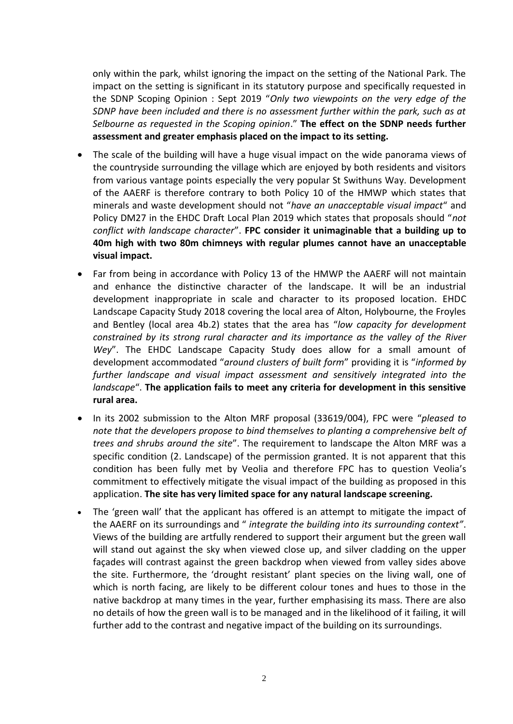only within the park, whilst ignoring the impact on the setting of the National Park. The impact on the setting is significant in its statutory purpose and specifically requested in the SDNP Scoping Opinion : Sept 2019 "*Only two viewpoints on the very edge of the SDNP have been included and there is no assessment further within the park, such as at Selbourne as requested in the Scoping opinion*." **The effect on the SDNP needs further assessment and greater emphasis placed on the impact to its setting.**

- The scale of the building will have a huge visual impact on the wide panorama views of the countryside surrounding the village which are enjoyed by both residents and visitors from various vantage points especially the very popular St Swithuns Way. Development of the AAERF is therefore contrary to both Policy 10 of the HMWP which states that minerals and waste development should not "*have an unacceptable visual impact*" and Policy DM27 in the EHDC Draft Local Plan 2019 which states that proposals should "*not conflict with landscape character*". **FPC consider it unimaginable that a building up to 40m high with two 80m chimneys with regular plumes cannot have an unacceptable visual impact.**
- Far from being in accordance with Policy 13 of the HMWP the AAERF will not maintain and enhance the distinctive character of the landscape. It will be an industrial development inappropriate in scale and character to its proposed location. EHDC Landscape Capacity Study 2018 covering the local area of Alton, Holybourne, the Froyles and Bentley (local area 4b.2) states that the area has "*low capacity for development constrained by its strong rural character and its importance as the valley of the River Wey*". The EHDC Landscape Capacity Study does allow for a small amount of development accommodated "*around clusters of built form*" providing it is "*informed by further landscape and visual impact assessment and sensitively integrated into the landscape*". **The application fails to meet any criteria for development in this sensitive rural area.**
- In its 2002 submission to the Alton MRF proposal (33619/004), FPC were "*pleased to note that the developers propose to bind themselves to planting a comprehensive belt of trees and shrubs around the site*". The requirement to landscape the Alton MRF was a specific condition (2. Landscape) of the permission granted. It is not apparent that this condition has been fully met by Veolia and therefore FPC has to question Veolia's commitment to effectively mitigate the visual impact of the building as proposed in this application. **The site has very limited space for any natural landscape screening.**
- The 'green wall' that the applicant has offered is an attempt to mitigate the impact of the AAERF on its surroundings and " *integrate the building into its surrounding context"*. Views of the building are artfully rendered to support their argument but the green wall will stand out against the sky when viewed close up, and silver cladding on the upper façades will contrast against the green backdrop when viewed from valley sides above the site. Furthermore, the 'drought resistant' plant species on the living wall, one of which is north facing, are likely to be different colour tones and hues to those in the native backdrop at many times in the year, further emphasising its mass. There are also no details of how the green wall is to be managed and in the likelihood of it failing, it will further add to the contrast and negative impact of the building on its surroundings.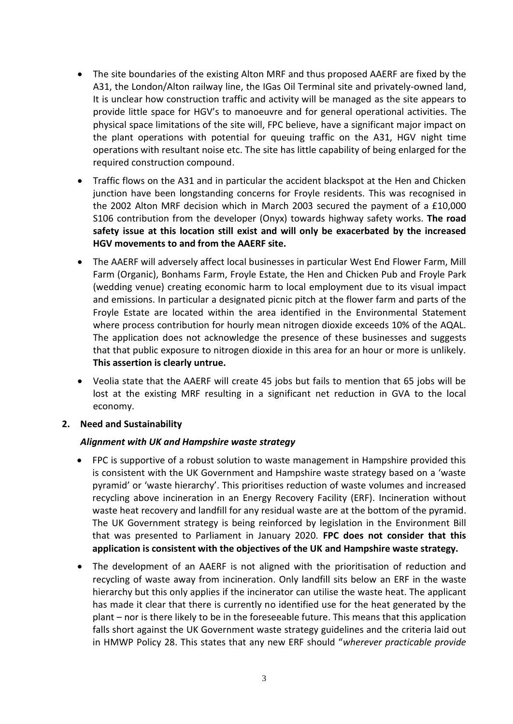- The site boundaries of the existing Alton MRF and thus proposed AAERF are fixed by the A31, the London/Alton railway line, the IGas Oil Terminal site and privately-owned land, It is unclear how construction traffic and activity will be managed as the site appears to provide little space for HGV's to manoeuvre and for general operational activities. The physical space limitations of the site will, FPC believe, have a significant major impact on the plant operations with potential for queuing traffic on the A31, HGV night time operations with resultant noise etc. The site has little capability of being enlarged for the required construction compound.
- Traffic flows on the A31 and in particular the accident blackspot at the Hen and Chicken junction have been longstanding concerns for Froyle residents. This was recognised in the 2002 Alton MRF decision which in March 2003 secured the payment of a £10,000 S106 contribution from the developer (Onyx) towards highway safety works. **The road safety issue at this location still exist and will only be exacerbated by the increased HGV movements to and from the AAERF site.**
- The AAERF will adversely affect local businesses in particular West End Flower Farm, Mill Farm (Organic), Bonhams Farm, Froyle Estate, the Hen and Chicken Pub and Froyle Park (wedding venue) creating economic harm to local employment due to its visual impact and emissions. In particular a designated picnic pitch at the flower farm and parts of the Froyle Estate are located within the area identified in the Environmental Statement where process contribution for hourly mean nitrogen dioxide exceeds 10% of the AQAL. The application does not acknowledge the presence of these businesses and suggests that that public exposure to nitrogen dioxide in this area for an hour or more is unlikely. **This assertion is clearly untrue.**
- Veolia state that the AAERF will create 45 jobs but fails to mention that 65 jobs will be lost at the existing MRF resulting in a significant net reduction in GVA to the local economy.

### **2. Need and Sustainability**

### *Alignment with UK and Hampshire waste strategy*

- FPC is supportive of a robust solution to waste management in Hampshire provided this is consistent with the UK Government and Hampshire waste strategy based on a 'waste pyramid' or 'waste hierarchy'. This prioritises reduction of waste volumes and increased recycling above incineration in an Energy Recovery Facility (ERF). Incineration without waste heat recovery and landfill for any residual waste are at the bottom of the pyramid. The UK Government strategy is being reinforced by legislation in the Environment Bill that was presented to Parliament in January 2020. **FPC does not consider that this application is consistent with the objectives of the UK and Hampshire waste strategy.**
- The development of an AAERF is not aligned with the prioritisation of reduction and recycling of waste away from incineration. Only landfill sits below an ERF in the waste hierarchy but this only applies if the incinerator can utilise the waste heat. The applicant has made it clear that there is currently no identified use for the heat generated by the plant – nor is there likely to be in the foreseeable future. This means that this application falls short against the UK Government waste strategy guidelines and the criteria laid out in HMWP Policy 28. This states that any new ERF should "*wherever practicable provide*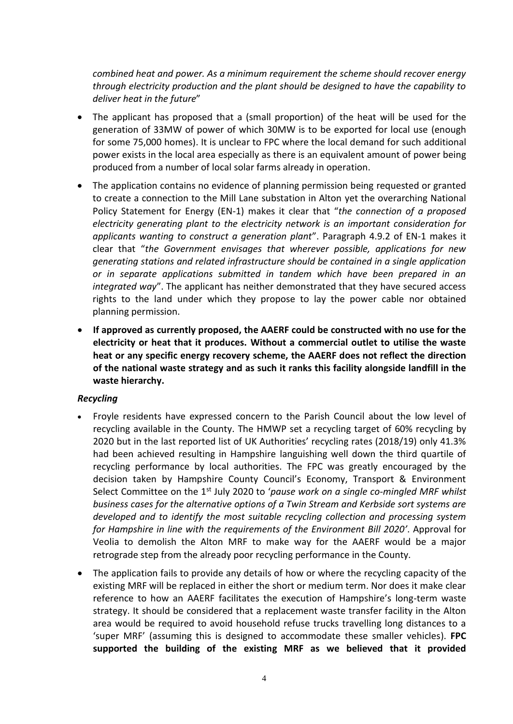*combined heat and power. As a minimum requirement the scheme should recover energy through electricity production and the plant should be designed to have the capability to deliver heat in the future*"

- The applicant has proposed that a (small proportion) of the heat will be used for the generation of 33MW of power of which 30MW is to be exported for local use (enough for some 75,000 homes). It is unclear to FPC where the local demand for such additional power exists in the local area especially as there is an equivalent amount of power being produced from a number of local solar farms already in operation.
- The application contains no evidence of planning permission being requested or granted to create a connection to the Mill Lane substation in Alton yet the overarching National Policy Statement for Energy (EN-1) makes it clear that "*the connection of a proposed electricity generating plant to the electricity network is an important consideration for applicants wanting to construct a generation plant*". Paragraph 4.9.2 of EN-1 makes it clear that "*the Government envisages that wherever possible, applications for new generating stations and related infrastructure should be contained in a single application or in separate applications submitted in tandem which have been prepared in an integrated way*". The applicant has neither demonstrated that they have secured access rights to the land under which they propose to lay the power cable nor obtained planning permission.
- **If approved as currently proposed, the AAERF could be constructed with no use for the electricity or heat that it produces. Without a commercial outlet to utilise the waste heat or any specific energy recovery scheme, the AAERF does not reflect the direction of the national waste strategy and as such it ranks this facility alongside landfill in the waste hierarchy.**

### *Recycling*

- Froyle residents have expressed concern to the Parish Council about the low level of recycling available in the County. The HMWP set a recycling target of 60% recycling by 2020 but in the last reported list of UK Authorities' recycling rates (2018/19) only 41.3% had been achieved resulting in Hampshire languishing well down the third quartile of recycling performance by local authorities. The FPC was greatly encouraged by the decision taken by Hampshire County Council's Economy, Transport & Environment Select Committee on the 1st July 2020 to '*pause work on a single co-mingled MRF whilst business cases for the alternative options of a Twin Stream and Kerbside sort systems are developed and to identify the most suitable recycling collection and processing system for Hampshire in line with the requirements of the Environment Bill 2020'*. Approval for Veolia to demolish the Alton MRF to make way for the AAERF would be a major retrograde step from the already poor recycling performance in the County.
- The application fails to provide any details of how or where the recycling capacity of the existing MRF will be replaced in either the short or medium term. Nor does it make clear reference to how an AAERF facilitates the execution of Hampshire's long-term waste strategy. It should be considered that a replacement waste transfer facility in the Alton area would be required to avoid household refuse trucks travelling long distances to a 'super MRF' (assuming this is designed to accommodate these smaller vehicles). **FPC supported the building of the existing MRF as we believed that it provided**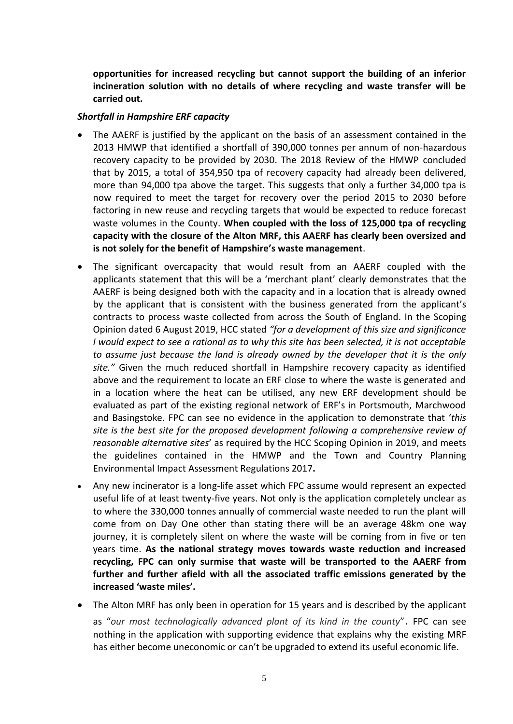**opportunities for increased recycling but cannot support the building of an inferior incineration solution with no details of where recycling and waste transfer will be carried out.** 

### *Shortfall in Hampshire ERF capacity*

- The AAERF is justified by the applicant on the basis of an assessment contained in the 2013 HMWP that identified a shortfall of 390,000 tonnes per annum of non-hazardous recovery capacity to be provided by 2030. The 2018 Review of the HMWP concluded that by 2015, a total of 354,950 tpa of recovery capacity had already been delivered, more than 94,000 tpa above the target. This suggests that only a further 34,000 tpa is now required to meet the target for recovery over the period 2015 to 2030 before factoring in new reuse and recycling targets that would be expected to reduce forecast waste volumes in the County. **When coupled with the loss of 125,000 tpa of recycling capacity with the closure of the Alton MRF, this AAERF has clearly been oversized and is not solely for the benefit of Hampshire's waste management**.
- The significant overcapacity that would result from an AAERF coupled with the applicants statement that this will be a 'merchant plant' clearly demonstrates that the AAERF is being designed both with the capacity and in a location that is already owned by the applicant that is consistent with the business generated from the applicant's contracts to process waste collected from across the South of England. In the Scoping Opinion dated 6 August 2019, HCC stated *"for a development of this size and significance I would expect to see a rational as to why this site has been selected, it is not acceptable to assume just because the land is already owned by the developer that it is the only site."* Given the much reduced shortfall in Hampshire recovery capacity as identified above and the requirement to locate an ERF close to where the waste is generated and in a location where the heat can be utilised, any new ERF development should be evaluated as part of the existing regional network of ERF's in Portsmouth, Marchwood and Basingstoke. FPC can see no evidence in the application to demonstrate that '*this site is the best site for the proposed development following a comprehensive review of reasonable alternative sites*' as required by the HCC Scoping Opinion in 2019, and meets the guidelines contained in the HMWP and the Town and Country Planning Environmental Impact Assessment Regulations 2017**.**
- Any new incinerator is a long-life asset which FPC assume would represent an expected useful life of at least twenty-five years. Not only is the application completely unclear as to where the 330,000 tonnes annually of commercial waste needed to run the plant will come from on Day One other than stating there will be an average 48km one way journey, it is completely silent on where the waste will be coming from in five or ten years time. **As the national strategy moves towards waste reduction and increased recycling, FPC can only surmise that waste will be transported to the AAERF from further and further afield with all the associated traffic emissions generated by the increased 'waste miles'.**
- The Alton MRF has only been in operation for 15 years and is described by the applicant as "*our most technologically advanced plant of its kind in the county*". FPC can see nothing in the application with supporting evidence that explains why the existing MRF has either become uneconomic or can't be upgraded to extend its useful economic life.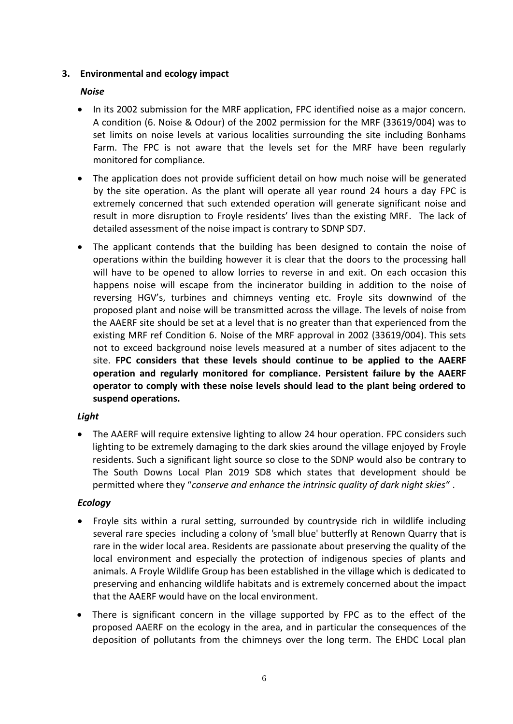# **3. Environmental and ecology impact**

# *Noise*

- In its 2002 submission for the MRF application, FPC identified noise as a major concern. A condition (6. Noise & Odour) of the 2002 permission for the MRF (33619/004) was to set limits on noise levels at various localities surrounding the site including Bonhams Farm. The FPC is not aware that the levels set for the MRF have been regularly monitored for compliance.
- The application does not provide sufficient detail on how much noise will be generated by the site operation. As the plant will operate all year round 24 hours a day FPC is extremely concerned that such extended operation will generate significant noise and result in more disruption to Froyle residents' lives than the existing MRF. The lack of detailed assessment of the noise impact is contrary to SDNP SD7.
- The applicant contends that the building has been designed to contain the noise of operations within the building however it is clear that the doors to the processing hall will have to be opened to allow lorries to reverse in and exit. On each occasion this happens noise will escape from the incinerator building in addition to the noise of reversing HGV's, turbines and chimneys venting etc. Froyle sits downwind of the proposed plant and noise will be transmitted across the village. The levels of noise from the AAERF site should be set at a level that is no greater than that experienced from the existing MRF ref Condition 6. Noise of the MRF approval in 2002 (33619/004). This sets not to exceed background noise levels measured at a number of sites adjacent to the site. **FPC considers that these levels should continue to be applied to the AAERF operation and regularly monitored for compliance. Persistent failure by the AAERF operator to comply with these noise levels should lead to the plant being ordered to suspend operations.**

## *Light*

• The AAERF will require extensive lighting to allow 24 hour operation. FPC considers such lighting to be extremely damaging to the dark skies around the village enjoyed by Froyle residents. Such a significant light source so close to the SDNP would also be contrary to The South Downs Local Plan 2019 SD8 which states that development should be permitted where they "*conserve and enhance the intrinsic quality of dark night skies*" .

## *Ecology*

- Froyle sits within a rural setting, surrounded by countryside rich in wildlife including several rare species including a colony of *'*small blue' butterfly at Renown Quarry that is rare in the wider local area. Residents are passionate about preserving the quality of the local environment and especially the protection of indigenous species of plants and animals. A Froyle Wildlife Group has been established in the village which is dedicated to preserving and enhancing wildlife habitats and is extremely concerned about the impact that the AAERF would have on the local environment.
- There is significant concern in the village supported by FPC as to the effect of the proposed AAERF on the ecology in the area, and in particular the consequences of the deposition of pollutants from the chimneys over the long term. The EHDC Local plan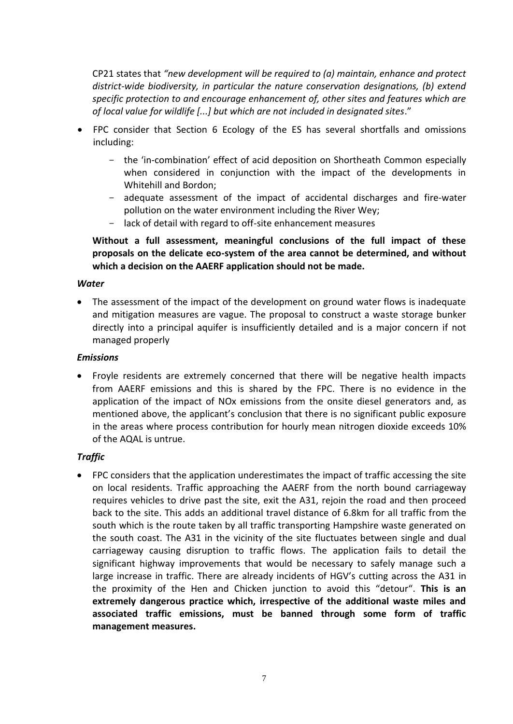CP21 states that *"new development will be required to (a) maintain, enhance and protect district-wide biodiversity, in particular the nature conservation designations, (b) extend specific protection to and encourage enhancement of, other sites and features which are of local value for wildlife [...] but which are not included in designated sites*."

- FPC consider that Section 6 Ecology of the ES has several shortfalls and omissions including:
	- the 'in-combination' effect of acid deposition on Shortheath Common especially when considered in conjunction with the impact of the developments in Whitehill and Bordon;
	- adequate assessment of the impact of accidental discharges and fire-water pollution on the water environment including the River Wey;
	- lack of detail with regard to off-site enhancement measures

**Without a full assessment, meaningful conclusions of the full impact of these proposals on the delicate eco-system of the area cannot be determined, and without which a decision on the AAERF application should not be made.**

### *Water*

• The assessment of the impact of the development on ground water flows is inadequate and mitigation measures are vague. The proposal to construct a waste storage bunker directly into a principal aquifer is insufficiently detailed and is a major concern if not managed properly

#### *Emissions*

• Froyle residents are extremely concerned that there will be negative health impacts from AAERF emissions and this is shared by the FPC. There is no evidence in the application of the impact of NOx emissions from the onsite diesel generators and, as mentioned above, the applicant's conclusion that there is no significant public exposure in the areas where process contribution for hourly mean nitrogen dioxide exceeds 10% of the AQAL is untrue.

### *Traffic*

• FPC considers that the application underestimates the impact of traffic accessing the site on local residents. Traffic approaching the AAERF from the north bound carriageway requires vehicles to drive past the site, exit the A31, rejoin the road and then proceed back to the site. This adds an additional travel distance of 6.8km for all traffic from the south which is the route taken by all traffic transporting Hampshire waste generated on the south coast. The A31 in the vicinity of the site fluctuates between single and dual carriageway causing disruption to traffic flows. The application fails to detail the significant highway improvements that would be necessary to safely manage such a large increase in traffic. There are already incidents of HGV's cutting across the A31 in the proximity of the Hen and Chicken junction to avoid this "detour". **This is an extremely dangerous practice which, irrespective of the additional waste miles and associated traffic emissions, must be banned through some form of traffic management measures.**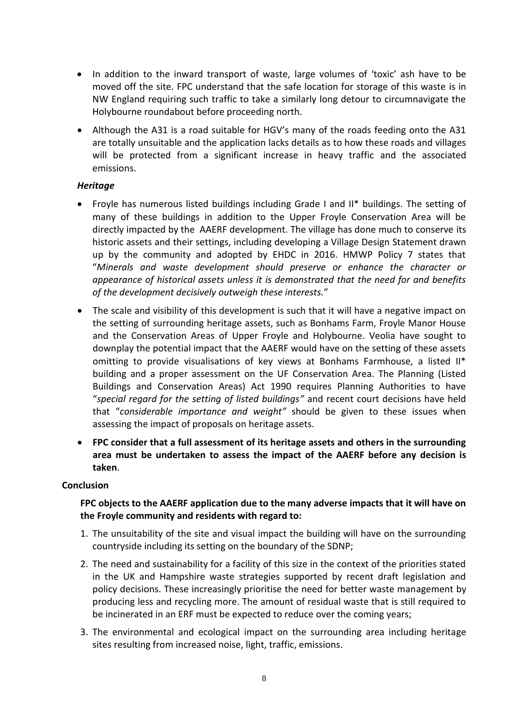- In addition to the inward transport of waste, large volumes of 'toxic' ash have to be moved off the site. FPC understand that the safe location for storage of this waste is in NW England requiring such traffic to take a similarly long detour to circumnavigate the Holybourne roundabout before proceeding north.
- Although the A31 is a road suitable for HGV's many of the roads feeding onto the A31 are totally unsuitable and the application lacks details as to how these roads and villages will be protected from a significant increase in heavy traffic and the associated emissions.

### *Heritage*

- Froyle has numerous listed buildings including Grade I and II\* buildings. The setting of many of these buildings in addition to the Upper Froyle Conservation Area will be directly impacted by the AAERF development. The village has done much to conserve its historic assets and their settings, including developing a Village Design Statement drawn up by the community and adopted by EHDC in 2016. HMWP Policy 7 states that "*Minerals and waste development should preserve or enhance the character or appearance of historical assets unless it is demonstrated that the need for and benefits of the development decisively outweigh these interests.*"
- The scale and visibility of this development is such that it will have a negative impact on the setting of surrounding heritage assets, such as Bonhams Farm, Froyle Manor House and the Conservation Areas of Upper Froyle and Holybourne. Veolia have sought to downplay the potential impact that the AAERF would have on the setting of these assets omitting to provide visualisations of key views at Bonhams Farmhouse, a listed II\* building and a proper assessment on the UF Conservation Area. The Planning (Listed Buildings and Conservation Areas) Act 1990 requires Planning Authorities to have "*special regard for the setting of listed buildings"* and recent court decisions have held that "*considerable importance and weight"* should be given to these issues when assessing the impact of proposals on heritage assets.
- **FPC consider that a full assessment of its heritage assets and others in the surrounding area must be undertaken to assess the impact of the AAERF before any decision is taken**.

### **Conclusion**

## **FPC objects to the AAERF application due to the many adverse impacts that it will have on the Froyle community and residents with regard to:**

- 1. The unsuitability of the site and visual impact the building will have on the surrounding countryside including its setting on the boundary of the SDNP;
- 2. The need and sustainability for a facility of this size in the context of the priorities stated in the UK and Hampshire waste strategies supported by recent draft legislation and policy decisions. These increasingly prioritise the need for better waste management by producing less and recycling more. The amount of residual waste that is still required to be incinerated in an ERF must be expected to reduce over the coming years;
- 3. The environmental and ecological impact on the surrounding area including heritage sites resulting from increased noise, light, traffic, emissions.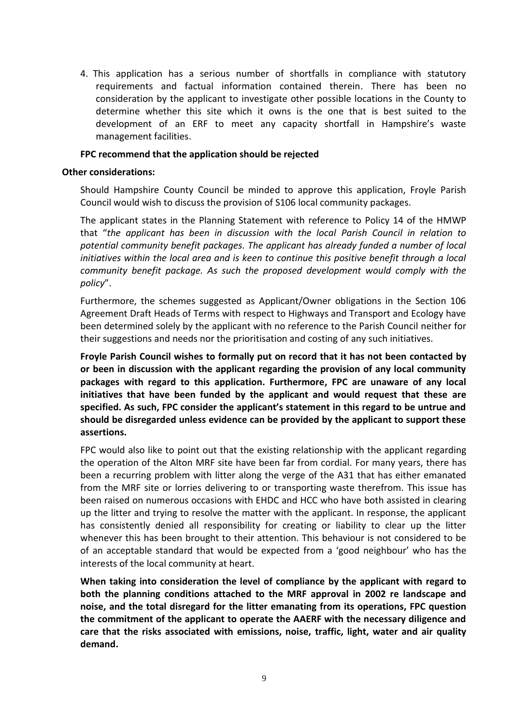4. This application has a serious number of shortfalls in compliance with statutory requirements and factual information contained therein. There has been no consideration by the applicant to investigate other possible locations in the County to determine whether this site which it owns is the one that is best suited to the development of an ERF to meet any capacity shortfall in Hampshire's waste management facilities.

#### **FPC recommend that the application should be rejected**

#### **Other considerations:**

Should Hampshire County Council be minded to approve this application, Froyle Parish Council would wish to discuss the provision of S106 local community packages.

The applicant states in the Planning Statement with reference to Policy 14 of the HMWP that "*the applicant has been in discussion with the local Parish Council in relation to potential community benefit packages. The applicant has already funded a number of local initiatives within the local area and is keen to continue this positive benefit through a local community benefit package. As such the proposed development would comply with the policy*".

Furthermore, the schemes suggested as Applicant/Owner obligations in the Section 106 Agreement Draft Heads of Terms with respect to Highways and Transport and Ecology have been determined solely by the applicant with no reference to the Parish Council neither for their suggestions and needs nor the prioritisation and costing of any such initiatives.

**Froyle Parish Council wishes to formally put on record that it has not been contacted by or been in discussion with the applicant regarding the provision of any local community packages with regard to this application. Furthermore, FPC are unaware of any local initiatives that have been funded by the applicant and would request that these are specified. As such, FPC consider the applicant's statement in this regard to be untrue and should be disregarded unless evidence can be provided by the applicant to support these assertions.**

FPC would also like to point out that the existing relationship with the applicant regarding the operation of the Alton MRF site have been far from cordial. For many years, there has been a recurring problem with litter along the verge of the A31 that has either emanated from the MRF site or lorries delivering to or transporting waste therefrom. This issue has been raised on numerous occasions with EHDC and HCC who have both assisted in clearing up the litter and trying to resolve the matter with the applicant. In response, the applicant has consistently denied all responsibility for creating or liability to clear up the litter whenever this has been brought to their attention. This behaviour is not considered to be of an acceptable standard that would be expected from a 'good neighbour' who has the interests of the local community at heart.

**When taking into consideration the level of compliance by the applicant with regard to both the planning conditions attached to the MRF approval in 2002 re landscape and noise, and the total disregard for the litter emanating from its operations, FPC question the commitment of the applicant to operate the AAERF with the necessary diligence and care that the risks associated with emissions, noise, traffic, light, water and air quality demand.**